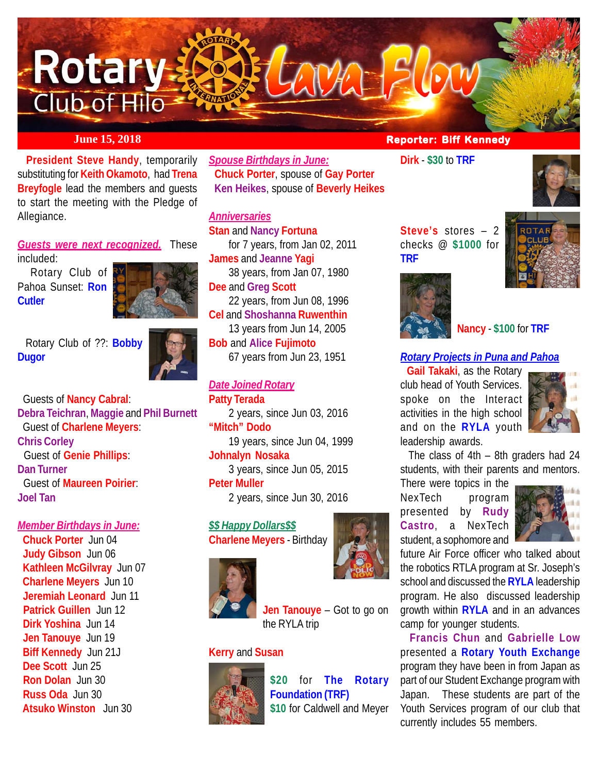

 **President Steve Handy**, temporarily substituting for **Keith Okamoto**, had **Trena Breyfogle** lead the members and guests to start the meeting with the Pledge of Allegiance.

*Guests were next recognized.* These included:

 Rotary Club of Pahoa Sunset: **Ron Cutler**



 Rotary Club of ??: **Bobby Dugor**



 Guests of **Nancy Cabral**: **Debra Teichran**, **Maggie** and **Phil Burnett** Guest of **Charlene Meyers**: **Chris Corley** Guest of **Genie Phillips**: **Dan Turner** Guest of **Maureen Poirier**: **Joel Tan**

#### *Member Birthdays in June:*

 **Chuck Porter** Jun 04  **Judy Gibson** Jun 06 **Kathleen McGilvray** Jun 07  **Charlene Meyers** Jun 10 **Jeremiah Leonard** Jun 11 **Patrick Guillen** Jun 12 **Dirk Yoshina** Jun 14 **Jen Tanouye** Jun 19 **Biff Kennedy** Jun 21J **Dee Scott** Jun 25 **Ron Dolan** Jun 30 **Russ Oda** Jun 30 **Atsuko Winston** Jun 30

*Spouse Birthdays in June:* **Chuck Porter**, spouse of **Gay Porter Ken Heikes**, spouse of **Beverly Heikes**

#### *Anniversaries* **Stan** and **Nancy Fortuna**

for 7 years, from Jan 02, 2011 **James** and **Jeanne Yagi** 38 years, from Jan 07, 1980 **Dee** and **Greg Scott** 22 years, from Jun 08, 1996 **Cel** and **Shoshanna Ruwenthin** 13 years from Jun 14, 2005 **Bob** and **Alice Fujimoto** 67 years from Jun 23, 1951

#### *Date Joined Rotary*

**Patty Terada** 2 years, since Jun 03, 2016 **"Mitch" Dodo** 19 years, since Jun 04, 1999 **Johnalyn Nosaka** 3 years, since Jun 05, 2015 **Peter Muller** 2 years, since Jun 30, 2016

## *\$\$ Happy Dollars\$\$*

**Charlene Meyers** - Birthday



**Jen Tanouye** – Got to go on the RYLA trip

#### **Kerry** and **Susan**



**\$20** for **The Rotary Foundation (TRF) \$10** for Caldwell and Meyer

#### *June 15, 2018* **<b>Reporter: Biff Kennedy**

**Dirk** - **\$30** to **TRF**



**Steve's** stores – 2 checks @ **\$1000** for **TRF**





**Nancy** - **\$100** for **TRF**

#### *Rotary Projects in Puna and Pahoa*

**Gail Takaki**, as the Rotary club head of Youth Services. spoke on the Interact activities in the high school and on the **RYLA** youth leadership awards.



 The class of 4th – 8th graders had 24 students, with their parents and mentors.

There were topics in the NexTech program presented by **Rudy Castro**, a NexTech student, a sophomore and



future Air Force officer who talked about the robotics RTLA program at Sr. Joseph's school and discussed the **RYLA** leadership program. He also discussed leadership growth within **RYLA** and in an advances camp for younger students.

 **Francis Chun** and **Gabrielle Low** presented a **Rotary Youth Exchange** program they have been in from Japan as part of our Student Exchange program with Japan. These students are part of the Youth Services program of our club that currently includes 55 members.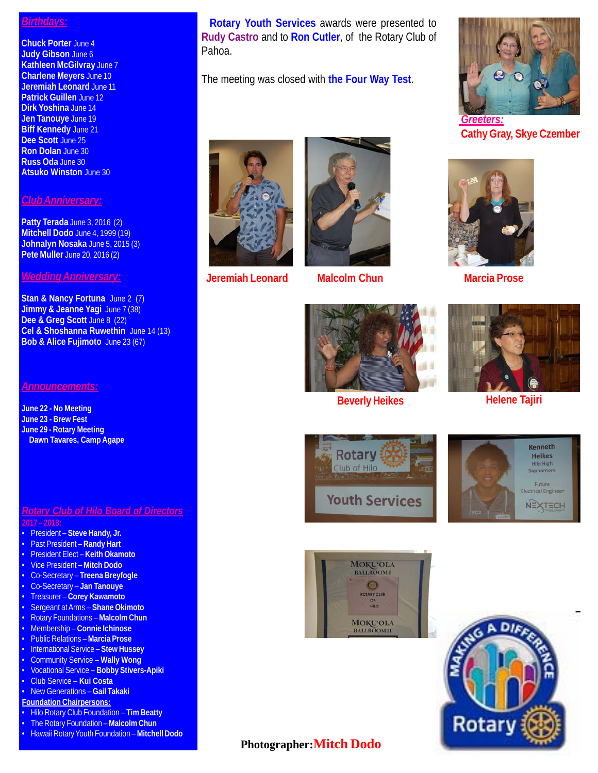#### *Birthdays:*

**Chuck Porter** June 4 **Judy Gibson** June 6 **Kathleen McGilvray** June 7 **Charlene Meyers** June 10 **Jeremiah Leonard** June 11 **Patrick Guillen** June 12 **Dirk Yoshina** June 14 **Jen Tanouye** June 19 **Biff Kennedy** June 21 **Dee Scott** June 25 **Ron Dolan** June 30 **Russ Oda** June 30 **Atsuko Winston** June 30

#### *Club Anniversary:*

**Patty Terada** June 3, 2016 (2) **Mitchell Dodo** June 4, 1999 (19) **Johnalyn Nosaka** June 5, 2015 (3) **Pete Muller** June 20, 2016 (2)

#### *Wedding Anniversary:*

**Stan & Nancy Fortuna** June 2 (7) **Jimmy & Jeanne Yagi** June 7 (38) **Dee & Greg Scott** June 8 (22) **Cel & Shoshanna Ruwethin** June 14 (13) **Bob & Alice Fujimoto** June 23 (67)

#### *Announcements:*

**June 22 - No Meeting June 23 - Brew Fest June 29 - Rotary Meeting Dawn Tavares, Camp Agape**

#### *Rotary Club of Hilo Board of Directors* **2017 – 2018:**

- President **Steve Handy, Jr.**
- Past President **Randy Hart**
- President Elect **Keith Okamoto**
- Vice President **Mitch Dodo**
- Co-Secretary **Treena Breyfogle**
- Co-Secretary **Jan Tanouye**
- Treasurer **Corey Kawamoto**
- Sergeant at Arms **Shane Okimoto**
- Rotary Foundations **Malcolm Chun**
- Membership **Connie Ichinose**
- Public Relations **Marcia Prose**
- International Service **Stew Hussey**
- Community Service **Wally Wong**
- Vocational Service **Bobby Stivers-Apiki**
- Club Service **Kui Costa**
- New Generations **Gail Takaki**
- **Foundation Chairpersons:**
- Hilo Rotary Club Foundation **Tim Beatty**
- The Rotary Foundation **Malcolm Chun**
- Hawaii Rotary Youth Foundation **Mitchell Dodo**

 **Rotary Youth Services** awards were presented to **Rudy Castro** and to **Ron Cutler**, of the Rotary Club of Pahoa.

The meeting was closed with **the Four Way Test**.



**Jeremiah Leonard**



**Malcolm Chun Marcia Prose** 



**Beverly Heikes**



**Cathy Gray, Skye Czember**





**Helene Tajiri**









### **Photographer:Mitch Dodo**